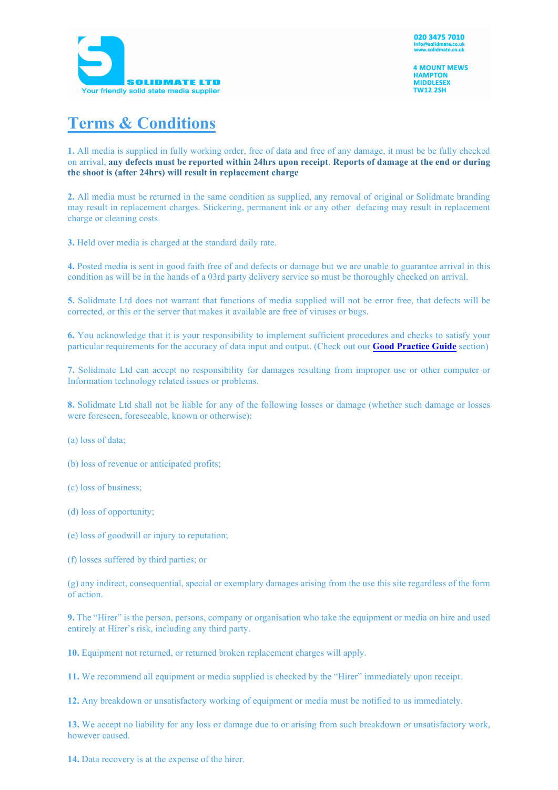

**4 MOUNT MEWS HAMPTON MIDDLESEX TW12 2SH** 

## **Terms & Conditions**

**1.** All media is supplied in fully working order, free of data and free of any damage, it must be be fully checked on arrival, **any defects must be reported within 24hrs upon receipt**. **Reports of damage at the end or during the shoot is (after 24hrs) will result in replacement charge**

**2.** All media must be returned in the same condition as supplied, any removal of original or Solidmate branding may result in replacement charges. Stickering, permanent ink or any other defacing may result in replacement charge or cleaning costs.

**3.** Held over media is charged at the standard daily rate.

**4.** Posted media is sent in good faith free of and defects or damage but we are unable to guarantee arrival in this condition as will be in the hands of a 03rd party delivery service so must be thoroughly checked on arrival.

**5.** Solidmate Ltd does not warrant that functions of media supplied will not be error free, that defects will be corrected, or this or the server that makes it available are free of viruses or bugs.

**6.** You acknowledge that it is your responsibility to implement sufficient procedures and checks to satisfy your particular requirements for the accuracy of data input and output. (Check out our **Good Practice Guide** section)

**7.** Solidmate Ltd can accept no responsibility for damages resulting from improper use or other computer or Information technology related issues or problems.

**8.** Solidmate Ltd shall not be liable for any of the following losses or damage (whether such damage or losses were foreseen, foreseeable, known or otherwise):

(a) loss of data;

(b) loss of revenue or anticipated profits;

(c) loss of business;

(d) loss of opportunity;

(e) loss of goodwill or injury to reputation;

(f) losses suffered by third parties; or

(g) any indirect, consequential, special or exemplary damages arising from the use this site regardless of the form of action.

**9.** The "Hirer" is the person, persons, company or organisation who take the equipment or media on hire and used entirely at Hirer's risk, including any third party.

**10.** Equipment not returned, or returned broken replacement charges will apply.

**11.** We recommend all equipment or media supplied is checked by the "Hirer" immediately upon receipt.

**12.** Any breakdown or unsatisfactory working of equipment or media must be notified to us immediately.

**13.** We accept no liability for any loss or damage due to or arising from such breakdown or unsatisfactory work, however caused.

**14.** Data recovery is at the expense of the hirer.